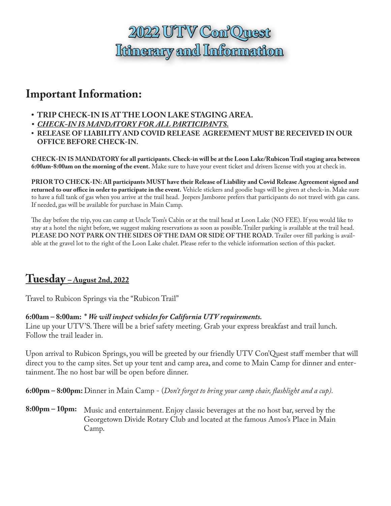

## **Important Information:**

- **• TRIP CHECK-IN IS AT THE LOON LAKE STAGING AREA.**
- *• CHECK-IN IS MANDATORY FOR ALL PARTICIPANTS.*
- **• RELEASE OF LIABILITY AND COVID RELEASE AGREEMENT MUST BE RECEIVED IN OUR OFFICE BEFORE CHECK-IN.**

**CHECK-IN IS MANDATORY for all participants. Check-in will be at the Loon Lake/Rubicon Trail staging area between 6:00am-8:00am on the morning of the event.** Make sure to have your event ticket and drivers license with you at check in.

**PRIOR TO CHECK-IN: All participants MUST have their Release of Liability and Covid Release Agreement signed and returned to our office in order to participate in the event.** Vehicle stickers and goodie bags will be given at check-in. Make sure to have a full tank of gas when you arrive at the trail head. Jeepers Jamboree prefers that participants do not travel with gas cans. If needed, gas will be available for purchase in Main Camp.

The day before the trip, you can camp at Uncle Tom's Cabin or at the trail head at Loon Lake (NO FEE). If you would like to stay at a hotel the night before, we suggest making reservations as soon as possible. Trailer parking is available at the trail head. **PLEASE DO NOT PARK ON THE SIDES OF THE DAM OR SIDE OF THE ROAD.** Trailer over fill parking is available at the gravel lot to the right of the Loon Lake chalet. Please refer to the vehicle information section of this packet.

## **Tuesday – August 2nd, 2022**

Travel to Rubicon Springs via the "Rubicon Trail"

#### **6:00am – 8:00am: \*** *We will inspect vehicles for California UTV requirements.*

Line up your UTV'S. There will be a brief safety meeting. Grab your express breakfast and trail lunch. Follow the trail leader in.

Upon arrival to Rubicon Springs, you will be greeted by our friendly UTV Con'Quest staff member that will direct you to the camp sites. Set up your tent and camp area, and come to Main Camp for dinner and entertainment. The no host bar will be open before dinner.

**6:00pm – 8:00pm:** Dinner in Main Camp - (*Don't forget to bring your camp chair, flashlight and a cup).*

**8:00pm – 10pm:** Music and entertainment. Enjoy classic beverages at the no host bar, served by the Georgetown Divide Rotary Club and located at the famous Amos's Place in Main Camp.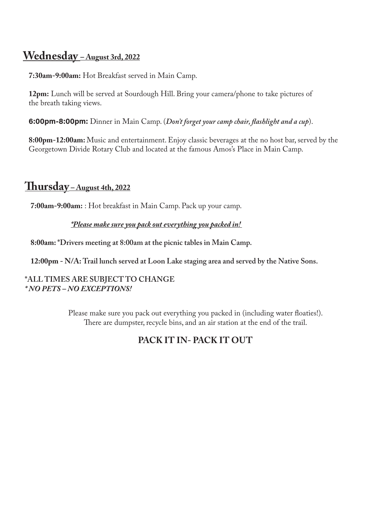### **Wednesday – August 3rd, 2022**

**7:30am-9:00am:** Hot Breakfast served in Main Camp.

**12pm:** Lunch will be served at Sourdough Hill. Bring your camera/phone to take pictures of the breath taking views.

6:00pm-8:00pm: Dinner in Main Camp. (*Don't forget your camp chair, flashlight and a cup*).

**8:00pm-12:00am:** Music and entertainment. Enjoy classic beverages at the no host bar, served by the Georgetown Divide Rotary Club and located at the famous Amos's Place in Main Camp.

## **Thursday – August 4th, 2022**

**7:00am-9:00am:** : Hot breakfast in Main Camp. Pack up your camp.

#### *\*Please make sure you pack out everything you packed in!*

**8:00am: \*Drivers meeting at 8:00am at the picnic tables in Main Camp.**

**12:00pm - N/A: Trail lunch served at Loon Lake staging area and served by the Native Sons.**

#### **\*ALL TIMES ARE SUBJECT TO CHANGE** *\* NO PETS – NO EXCEPTIONS!*

Please make sure you pack out everything you packed in (including water floaties!). There are dumpster, recycle bins, and an air station at the end of the trail.

### **PACK IT IN- PACK IT OUT**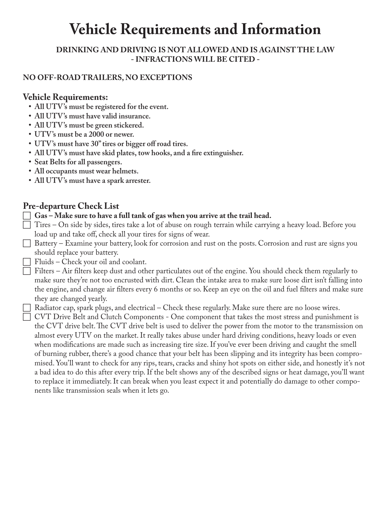# **Vehicle Requirements and Information**

#### **DRINKING AND DRIVING IS NOT ALLOWED AND IS AGAINST THE LAW - INFRACTIONS WILL BE CITED -**

#### **NO OFF-ROAD TRAILERS, NO EXCEPTIONS**

#### **Vehicle Requirements:**

- **• All UTV's must be registered for the event.**
- **• All UTV's must have valid insurance.**
- **• All UTV's must be green stickered.**
- **• UTV's must be a 2000 or newer.**
- **• UTV's must have 30" tires or bigger off road tires.**
- **• All UTV's must have skid plates, tow hooks, and a fire extinguisher.**
- **• Seat Belts for all passengers.**
- **• All occupants must wear helmets.**
- **• All UTV's must have a spark arrester.**

#### **Pre-departure Check List**

#### F **Gas – Make sure to have a full tank of gas when you arrive at the trail head.**

- $\Box$  Tires On side by sides, tires take a lot of abuse on rough terrain while carrying a heavy load. Before you load up and take off, check all your tires for signs of wear.
- $\Box$  Battery Examine your battery, look for corrosion and rust on the posts. Corrosion and rust are signs you should replace your battery.
- $\perp$  Fluids Check your oil and coolant.
- F Filters Air filters keep dust and other particulates out of the engine. You should check them regularly to make sure they're not too encrusted with dirt. Clean the intake area to make sure loose dirt isn't falling into the engine, and change air filters every 6 months or so. Keep an eye on the oil and fuel filters and make sure they are changed yearly.
- F Radiator cap, spark plugs, and electrical Check these regularly. Make sure there are no loose wires.

F CVT Drive Belt and Clutch Components - One component that takes the most stress and punishment is the CVT drive belt. The CVT drive belt is used to deliver the power from the motor to the transmission on almost every UTV on the market. It really takes abuse under hard driving conditions, heavy loads or even when modifications are made such as increasing tire size. If you've ever been driving and caught the smell of burning rubber, there's a good chance that your belt has been slipping and its integrity has been compromised. You'll want to check for any rips, tears, cracks and shiny hot spots on either side, and honestly it's not a bad idea to do this after every trip. If the belt shows any of the described signs or heat damage, you'll want to replace it immediately. It can break when you least expect it and potentially do damage to other components like transmission seals when it lets go.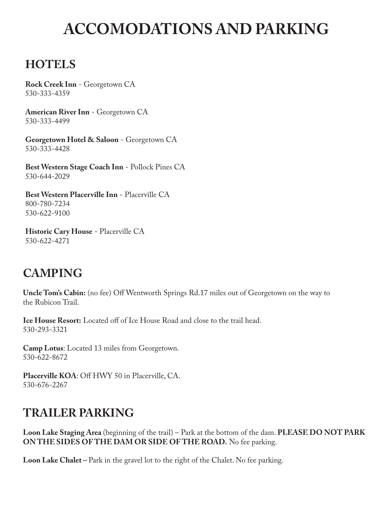# **ACCOMODATIONS AND PARKING**

## **HOTELS**

**Rock Creek Inn** - Georgetown CA 530-333-4359

**American River Inn** - Georgetown CA 530-333-4499

**Georgetown Hotel & Saloon** - Georgetown CA 530-333-4428

**Best Western Stage Coach Inn** - Pollock Pines CA 530-644-2029

**Best Western Placerville Inn** - Placerville CA 800-780-7234 530-622-9100

**Historic Cary House** - Placerville CA 530-622-4271

## **CAMPING**

**Uncle Tom's Cabin:** (no fee) Off Wentworth Springs Rd.17 miles out of Georgetown on the way to the Rubicon Trail.

**Ice House Resort:** Located off of Ice House Road and close to the trail head. 530-293-3321

**Camp Lotus**: Located 13 miles from Georgetown. 530-622-8672

**Placerville KOA**: Off HWY 50 in Placerville, CA. 530-676-2267

## **TRAILER PARKING**

**Loon Lake Staging Area** (beginning of the trail) – Park at the bottom of the dam. **PLEASE DO NOT PARK ON THE SIDES OF THE DAM OR SIDE OF THE ROAD.** No fee parking.

**Loon Lake Chalet –** Park in the gravel lot to the right of the Chalet. No fee parking.